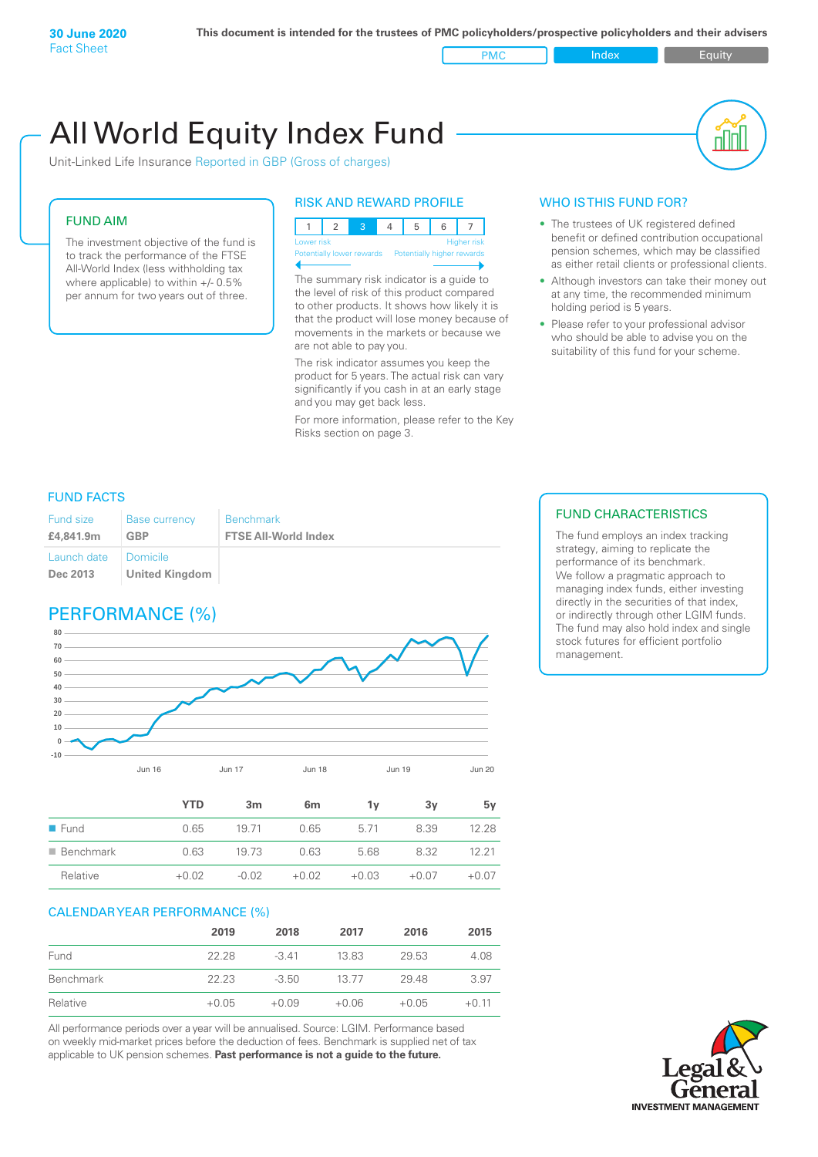PMC Index PMC Equity

# Unit-Linked Life Insurance Reported in GBP (Gross of charges) All World Equity Index Fund

### FUND AIM

The investment objective of the fund is to track the performance of the FTSE All-World Index (less withholding tax where applicable) to within +/- 0.5% per annum for two years out of three.

### RISK AND REWARD PROFILE

|  | Lower risk |  |  |                                                      |  | <b>Higher</b> risk |  |
|--|------------|--|--|------------------------------------------------------|--|--------------------|--|
|  |            |  |  | Potentially lower rewards Potentially higher rewards |  |                    |  |
|  |            |  |  |                                                      |  |                    |  |

The summary risk indicator is a guide to the level of risk of this product compared to other products. It shows how likely it is that the product will lose money because of movements in the markets or because we are not able to pay you.

The risk indicator assumes you keep the product for 5 years. The actual risk can vary significantly if you cash in at an early stage and you may get back less.

For more information, please refer to the Key Risks section on page 3.

### WHO IS THIS FUND FOR?

- The trustees of UK registered defined benefit or defined contribution occupational pension schemes, which may be classified as either retail clients or professional clients.
- Although investors can take their money out at any time, the recommended minimum holding period is 5 years.
- Please refer to your professional advisor who should be able to advise you on the suitability of this fund for your scheme.

### FUND FACTS

| Fund size<br>£4,841.9m | <b>Base currency</b><br><b>GBP</b> | <b>Benchmark</b><br><b>FTSE All-World Index</b> |
|------------------------|------------------------------------|-------------------------------------------------|
| Launch date            | I Domicile                         |                                                 |
| Dec 2013               | <b>United Kingdom</b>              |                                                 |

### PERFORMANCE (%)



|                          | <b>YTD</b> | 3 <sub>m</sub> | 6 <sub>m</sub> | 1ν      | 3y      | 5v      |
|--------------------------|------------|----------------|----------------|---------|---------|---------|
| $\blacksquare$ Fund      | 0.65       | 19.71          | 0.65           | 5.71    | 8.39    | 12.28   |
| $\blacksquare$ Benchmark | 0.63       | 19.73          | 0.63           | 5.68    | 8.32    | 12.21   |
| Relative                 | $+0.02$    | $-0.02$        | $+0.02$        | $+0.03$ | $+0.07$ | $+0.07$ |

### CALENDAR YEAR PERFORMANCE (%)

|           | 2019    | 2018    | 2017    | 2016    | 2015    |
|-----------|---------|---------|---------|---------|---------|
| Fund      | 22.28   | $-3.41$ | 13.83   | 29.53   | 4.08    |
| Benchmark | 22.23   | $-3.50$ | 13.77   | 29.48   | 3.97    |
| Relative  | $+0.05$ | $+0.09$ | $+0.06$ | $+0.05$ | $+0.11$ |

All performance periods over a year will be annualised. Source: LGIM. Performance based on weekly mid-market prices before the deduction of fees. Benchmark is supplied net of tax applicable to UK pension schemes. **Past performance is not a guide to the future.**

### FUND CHARACTERISTICS

The fund employs an index tracking strategy, aiming to replicate the performance of its benchmark. We follow a pragmatic approach to managing index funds, either investing directly in the securities of that index, or indirectly through other LGIM funds. The fund may also hold index and single stock futures for efficient portfolio management.

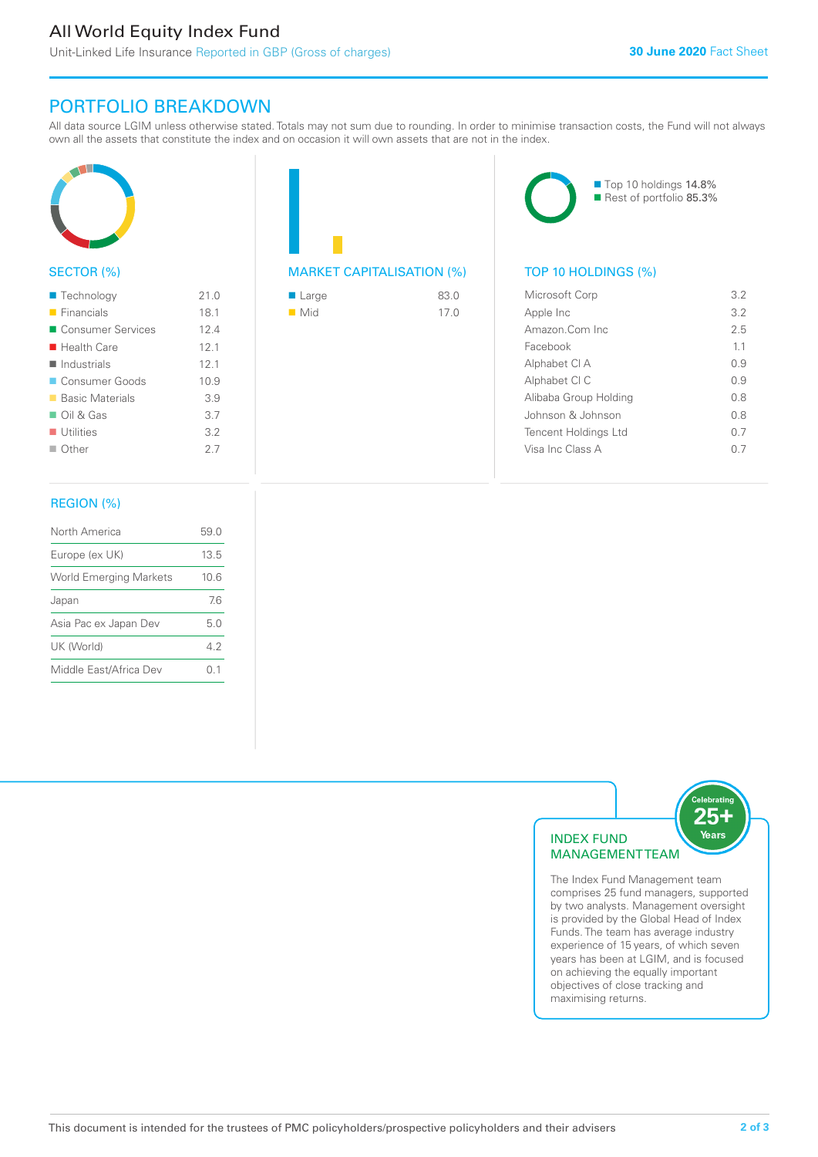### All World Equity Index Fund

Unit-Linked Life Insurance Reported in GBP (Gross of charges)

### PORTFOLIO BREAKDOWN

All data source LGIM unless otherwise stated. Totals may not sum due to rounding. In order to minimise transaction costs, the Fund will not always own all the assets that constitute the index and on occasion it will own assets that are not in the index.



### SECTOR (%)

| $\blacksquare$ Technology  | 21.0 |
|----------------------------|------|
| $\blacksquare$ Financials  | 18.1 |
| ■ Consumer Services        | 124  |
| $\blacksquare$ Health Care | 12.1 |
| $\blacksquare$ Industrials | 12.1 |
| Consumer Goods             | 10.9 |
| ■ Basic Materials          | 3.9  |
| $\Box$ Oil & Gas           | 3.7  |
| $\blacksquare$ Utilities   | 3.2  |
| $\Box$ Other               | 27   |
|                            |      |

### REGION (%)

| North America                 | 59.0 |
|-------------------------------|------|
| Europe (ex UK)                | 13.5 |
| <b>World Emerging Markets</b> | 10.6 |
| Japan                         | 76   |
| Asia Pac ex Japan Dev         | 5 O  |
| UK (World)                    | 42   |
| Middle East/Africa Dev        | N 1  |
|                               |      |

## MARKET CAPITALISATION (%) TOP 10 HOLDINGS (%)

| $\blacksquare$ Large | 83.0 |
|----------------------|------|
| $\blacksquare$ Mid   | 17.0 |



| Microsoft Corp        | 3.2 |
|-----------------------|-----|
| Apple Inc             | 32  |
| Amazon Com Inc        | 25  |
| Facebook              | 11  |
| Alphabet CI A         | O 9 |
| Alphabet CI C         | O 9 |
| Alibaba Group Holding | 0 S |
| Johnson & Johnson     | 0.8 |
| Tencent Holdings Ltd  | 0.7 |
| Visa Inc Class A      |     |
|                       |     |



comprises 25 fund managers, supported by two analysts. Management oversight is provided by the Global Head of Index Funds. The team has average industry experience of 15 years, of which seven years has been at LGIM, and is focused on achieving the equally important objectives of close tracking and maximising returns.